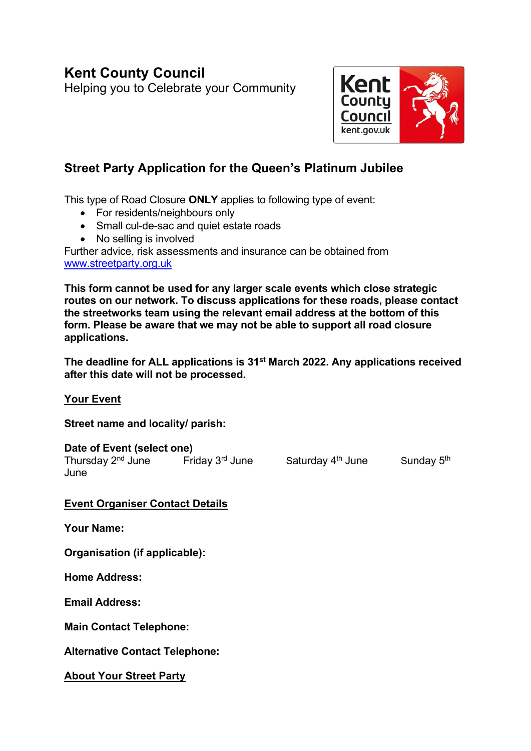## **Kent County Council** Helping you to Celebrate your Community

Kent County Council kent.gov.uk

# **Street Party Application for the Queen's Platinum Jubilee**

This type of Road Closure **ONLY** applies to following type of event:

- For residents/neighbours only
- Small cul-de-sac and quiet estate roads
- No selling is involved

Further advice, risk assessments and insurance can be obtained from [www.streetparty.org.uk](http://www.streetparty.org.uk/)

**This form cannot be used for any larger scale events which close strategic routes on our network. To discuss applications for these roads, please contact the streetworks team using the relevant email address at the bottom of this form. Please be aware that we may not be able to support all road closure applications.** 

**The deadline for ALL applications is 31st March 2022. Any applications received after this date will not be processed.** 

**Your Event**

**Street name and locality/ parish:** 

**Date of Event (select one)**  Thursday 2<sup>nd</sup> June Friday 3<sup>rd</sup> June Saturday 4 June

<sup>th</sup> June Sunday 5<sup>th</sup>

**Event Organiser Contact Details**

**Your Name:** 

**Organisation (if applicable):** 

**Home Address:** 

**Email Address:** 

**Main Contact Telephone:** 

**Alternative Contact Telephone:** 

**About Your Street Party**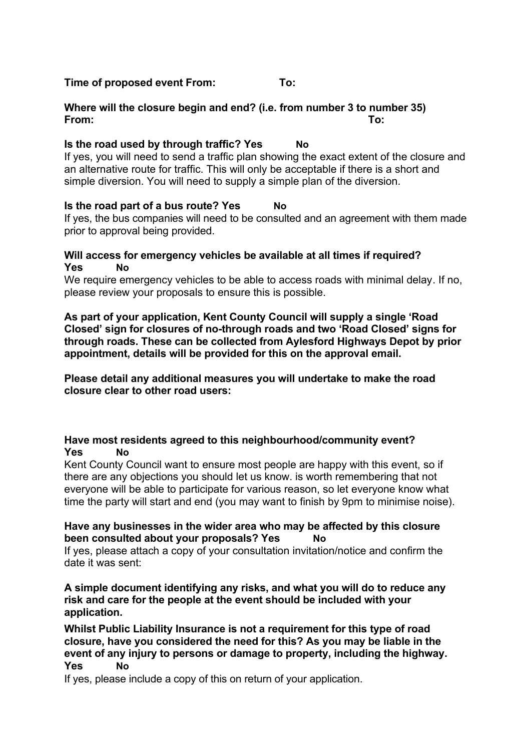#### **Time of proposed event From: To:**

## **Where will the closure begin and end? (i.e. from number 3 to number 35) From: To:**

## **Is the road used by through traffic? Yes No**

If yes, you will need to send a traffic plan showing the exact extent of the closure and an alternative route for traffic. This will only be acceptable if there is a short and simple diversion. You will need to supply a simple plan of the diversion.

### **Is the road part of a bus route? Yes No**

If yes, the bus companies will need to be consulted and an agreement with them made prior to approval being provided.

#### **Will access for emergency vehicles be available at all times if required? Yes No**

We require emergency vehicles to be able to access roads with minimal delay. If no, please review your proposals to ensure this is possible.

**As part of your application, Kent County Council will supply a single 'Road Closed' sign for closures of no-through roads and two 'Road Closed' signs for through roads. These can be collected from Aylesford Highways Depot by prior appointment, details will be provided for this on the approval email.** 

**Please detail any additional measures you will undertake to make the road closure clear to other road users:**

### **Have most residents agreed to this neighbourhood/community event? Yes No**

Kent County Council want to ensure most people are happy with this event, so if there are any objections you should let us know. is worth remembering that not everyone will be able to participate for various reason, so let everyone know what time the party will start and end (you may want to finish by 9pm to minimise noise).

#### **Have any businesses in the wider area who may be affected by this closure been consulted about your proposals? Yes No**

If yes, please attach a copy of your consultation invitation/notice and confirm the date it was sent:

**A simple document identifying any risks, and what you will do to reduce any risk and care for the people at the event should be included with your application.**

**Whilst Public Liability Insurance is not a requirement for this type of road closure, have you considered the need for this? As you may be liable in the event of any injury to persons or damage to property, including the highway. Yes No** 

If yes, please include a copy of this on return of your application.